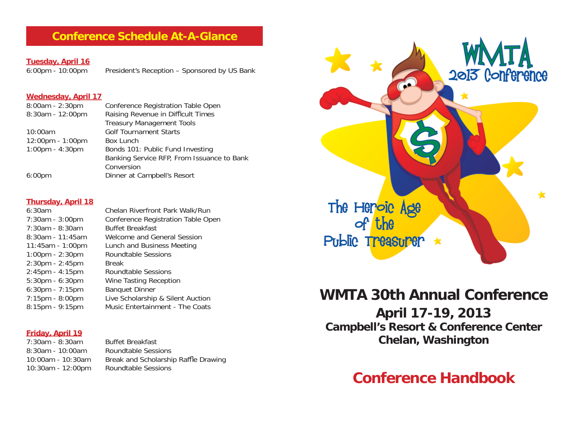## **Conference Schedule At-A-Glance**

**Tuesday, April 16**

President's Reception – Sponsored by US Bank

#### **Wednesday, April 17**

| $8:00am - 2:30pm$                  | Conference Registration Table Open         |
|------------------------------------|--------------------------------------------|
| 8:30am - 12:00pm                   | Raising Revenue in Difficult Times         |
|                                    | <b>Treasury Management Tools</b>           |
| 10:00am                            | <b>Golf Tournament Starts</b>              |
| $12:00 \text{pm} - 1:00 \text{pm}$ | <b>Box Lunch</b>                           |
| $1:00$ pm - $4:30$ pm              | Bonds 101: Public Fund Investing           |
|                                    | Banking Service RFP, From Issuance to Bank |
|                                    | Conversion                                 |
| $6:00 \text{pm}$                   | Dinner at Campbell's Resort                |
|                                    |                                            |

#### **Thursday, April 18**

| 6:30am                | Chelan Riverfront Park Walk/Run    |
|-----------------------|------------------------------------|
| 7:30am - 3:00pm       | Conference Registration Table Open |
| $7:30$ am - 8:30am    | <b>Buffet Breakfast</b>            |
| $8:30$ am - 11:45am   | Welcome and General Session        |
| $11:45am - 1:00pm$    | Lunch and Business Meeting         |
| 1:00pm - 2:30pm       | Roundtable Sessions                |
| 2:30pm - 2:45pm       | <b>Break</b>                       |
| $2:45$ pm - $4:15$ pm | Roundtable Sessions                |
| $5:30$ pm - $6:30$ pm | Wine Tasting Reception             |
| $6:30$ pm - 7:15pm    | <b>Banquet Dinner</b>              |
| 7:15pm - 8:00pm       | Live Scholarship & Silent Auction  |
| 8:15pm - 9:15pm       | Music Entertainment - The Coats    |
|                       |                                    |

#### **Friday, April 19**

| 7:30am - 8:30am   | <b>Buffet Breakfast</b>              |
|-------------------|--------------------------------------|
| 8:30am - 10:00am  | Roundtable Sessions                  |
| 10:00am - 10:30am | Break and Scholarship Raffle Drawing |
| 10:30am - 12:00pm | Roundtable Sessions                  |

# 2013 Conference  $\bigstar$ The Henoic Age  $of$  the Public Treasurer \*

## **WMTA 30th Annual Conference**

**April 17-19, 2013 Campbell's Resort & Conference Center Chelan, Washington**

## **Conference Handbook**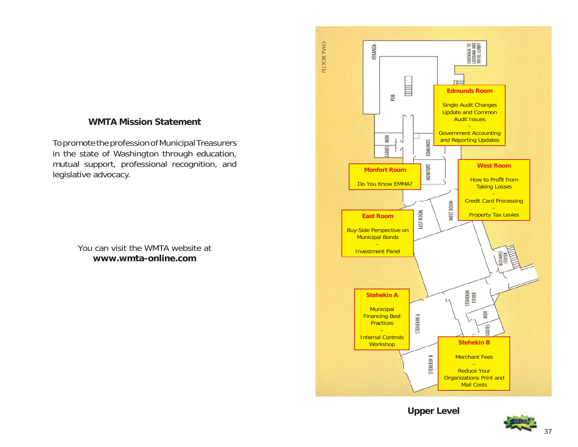## **WMTA Mission Statement**

To promote the profession of Municipal Treasurers in the state of Washington through education, mutual support, professional recognition, and legislative advocacy.

> You can visit the WMTA website at**www.wmta-online.com**



**Upper Level**

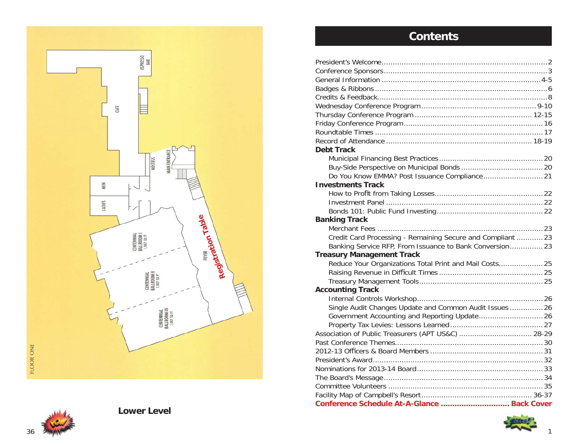

## **Contents**

| Debt Track                                                  |  |
|-------------------------------------------------------------|--|
|                                                             |  |
|                                                             |  |
|                                                             |  |
| <b>Investments Track</b>                                    |  |
|                                                             |  |
|                                                             |  |
|                                                             |  |
| <b>Banking Track</b>                                        |  |
|                                                             |  |
| Credit Card Processing - Remaining Secure and Compliant  23 |  |
| Banking Service RFP, From Issuance to Bank Conversion 23    |  |
| <b>Treasury Management Track</b>                            |  |
| Reduce Your Organizations Total Print and Mail Costs 25     |  |
|                                                             |  |
|                                                             |  |
| <b>Accounting Track</b>                                     |  |
|                                                             |  |
| Single Audit Changes Update and Common Audit Issues  26     |  |
|                                                             |  |
|                                                             |  |
|                                                             |  |
|                                                             |  |
|                                                             |  |
|                                                             |  |
|                                                             |  |
|                                                             |  |
|                                                             |  |
|                                                             |  |
| Conference Schedule At-A-Glance  Back Cover                 |  |





1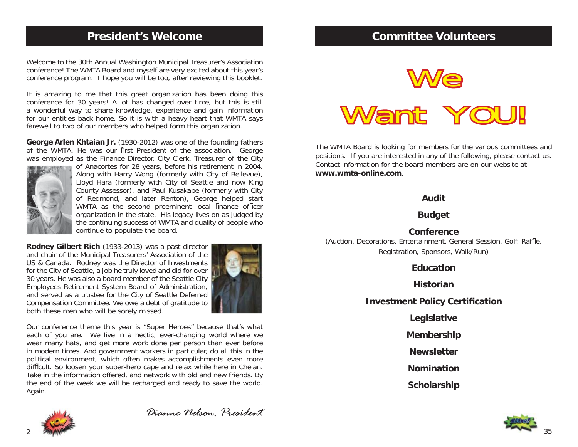## **President's Welcome**

Welcome to the 30th Annual Washington Municipal Treasurer's Association conference! The WMTA Board and myself are very excited about this year's conference program. I hope you will be too, after reviewing this booklet.

It is amazing to me that this great organization has been doing this conference for 30 years! A lot has changed over time, but this is still a wonderful way to share knowledge, experience and gain information for our entities back home. So it is with a heavy heart that WMTA says farewell to two of our members who helped form this organization.

**George Arlen Khtaian Jr.** (1930-2012) was one of the founding fathers of the WMTA. He was our first President of the association. George was employed as the Finance Director, City Clerk, Treasurer of the City



of Anacortes for 28 years, before his retirement in 2004. Along with Harry Wong (formerly with City of Bellevue), Lloyd Hara (formerly with City of Seattle and now King County Assessor), and Paul Kusakabe (formerly with City of Redmond, and later Renton), George helped start WMTA as the second preeminent local finance officer organization in the state. His legacy lives on as judged by the continuing success of WMTA and quality of people who continue to populate the board.

**Rodney Gilbert Rich** (1933-2013) was a past director and chair of the Municipal Treasurers' Association of the US & Canada. Rodney was the Director of Investments for the City of Seattle, a job he truly loved and did for over 30 years. He was also a board member of the Seattle City Employees Retirement System Board of Administration, and served as a trustee for the City of Seattle Deferred Compensation Committee. We owe a debt of gratitude to both these men who will be sorely missed.



Our conference theme this year is "Super Heroes" because that's what each of you are. We live in a hectic, ever-changing world where we wear many hats, and get more work done per person than ever before in modern times. And government workers in particular, do all this in the political environment, which often makes accomplishments even more difficult. So loosen your super-hero cape and relax while here in Chelan. Take in the information offered, and network with old and new friends. By the end of the week we will be recharged and ready to save the world. Again.



*Dianne Nelson, President*

## **Committee Volunteers**



The WMTA Board is looking for members for the various committees and positions. If you are interested in any of the following, please contact us. Contact information for the board members are on our website at**www.wmta-online.com**.

#### **Audit**

#### **Budget**

#### **Conference**

(Auction, Decorations, Entertainment, General Session, Golf, Raffle, Registration, Sponsors, Walk/Run)

#### **Education**

**Historian**

#### **Investment Policy Certification**

**Legislative**

**Membership**

**Newsletter**

**Nomination**

**Scholarship**

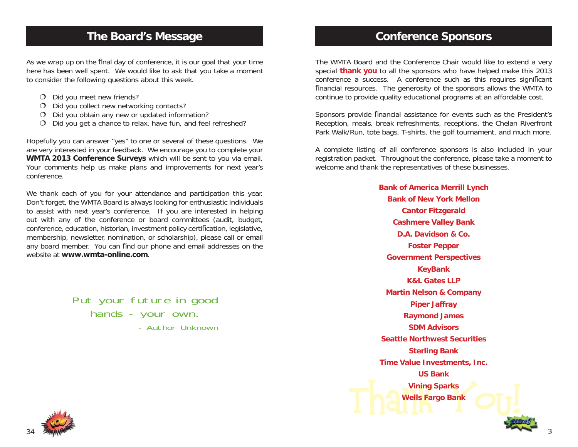## **The Board's Message**

As we wrap up on the final day of conference, it is our goal that your time here has been well spent. We would like to ask that you take a moment to consider the following questions about this week.

- O Did you meet new friends?
- $O$  Did you collect new networking contacts?
- $O$  Did you obtain any new or updated information?
- O Did you get a chance to relax, have fun, and feel refreshed?

Hopefully you can answer "yes" to one or several of these questions. We are very interested in your feedback. We encourage you to complete your **WMTA 2013 Conference Surveys** which will be sent to you via email. Your comments help us make plans and improvements for next year's conference.

We thank each of you for your attendance and participation this year. Don't forget, the WMTA Board is always looking for enthusiastic individuals to assist with next year's conference. If you are interested in helping out with any of the conference or board committees (audit, budget, conference, education, historian, investment policy certification, legislative, membership, newsletter, nomination, or scholarship), please call or email any board member. You can find our phone and email addresses on the website at **www.wmta-online.com**.

> Put your future in good hands - your own.

- Author Unknown

## **Conference Sponsors**

The WMTA Board and the Conference Chair would like to extend a very special **thank you** to all the sponsors who have helped make this 2013 conference a success. A conference such as this requires significant financial resources. The generosity of the sponsors allows the WMTA to continue to provide quality educational programs at an affordable cost.

Sponsors provide financial assistance for events such as the President's Reception, meals, break refreshments, receptions, the Chelan Riverfront Park Walk/Run, tote bags, T-shirts, the golf tournament, and much more.

A complete listing of all conference sponsors is also included in your registration packet. Throughout the conference, please take a moment to welcome and thank the representatives of these businesses.

> Thank <sup>Vining Sparks</sup> **Bank of America Merrill Lynch Bank of New York MellonCantor Fitzgerald Cashmere Valley Bank D.A. Davidson & Co.Foster Pepper Government Perspectives KeyBank K&L Gates LLPMartin Nelson & Company Piper Jaffray Raymond James SDM AdvisorsSeattle Northwest SecuritiesSterling Bank Time Value Investments, Inc. US BankVining Sparks Wells Fargo Bank**

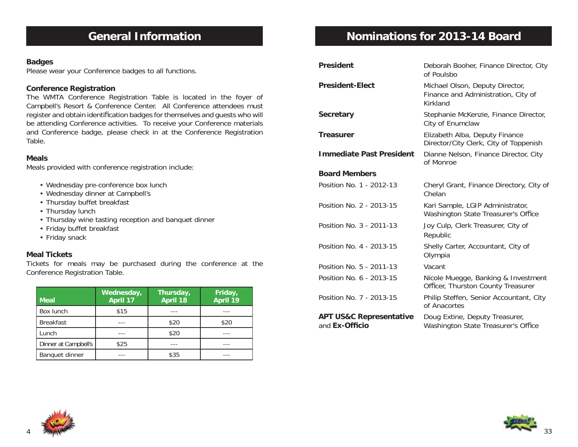## **General Information**

#### **Badges**

Please wear your Conference badges to all functions.

#### **Conference Registration**

The WMTA Conference Registration Table is located in the foyer of Campbell's Resort & Conference Center. All Conference attendees must register and obtain identification badges for themselves and guests who will be attending Conference activities. To receive your Conference materials and Conference badge, please check in at the Conference Registration Table.

#### **Meals**

Meals provided with conference registration include:

- Wednesday pre-conference box lunch
- Wednesday dinner at Campbell's
- Thursday buffet breakfast
- Thursday lunch
- Thursday wine tasting reception and banquet dinner
- Friday buffet breakfast
- Friday snack

#### **Meal Tickets**

Tickets for meals may be purchased during the conference at the Conference Registration Table.

| <b>Meal</b>          | Wednesday,<br><b>April 17</b> | Thursday,<br><b>April 18</b> | Friday,<br>April 19 |
|----------------------|-------------------------------|------------------------------|---------------------|
| Box lunch            | \$15                          |                              |                     |
| <b>Breakfast</b>     |                               | \$20                         | \$20                |
| Lunch                |                               | \$20                         |                     |
| Dinner at Campbell's | \$25                          |                              |                     |
| Banquet dinner       |                               | \$35                         |                     |

## **Nominations for 2013-14 Board**

| <b>President</b>                                     | Deborah Booher, Finance Director, City<br>of Poulsbo                               |
|------------------------------------------------------|------------------------------------------------------------------------------------|
| <b>President-Elect</b>                               | Michael Olson, Deputy Director,<br>Finance and Administration, City of<br>Kirkland |
| <b>Secretary</b>                                     | Stephanie McKenzie, Finance Director,<br>City of Enumclaw                          |
| <b>Treasurer</b>                                     | Elizabeth Alba, Deputy Finance<br>Director/City Clerk, City of Toppenish           |
| <b>Immediate Past President</b>                      | Dianne Nelson, Finance Director, City<br>of Monroe                                 |
| <b>Board Members</b>                                 |                                                                                    |
| Position No. 1 - 2012-13                             | Cheryl Grant, Finance Directory, City of<br>Chelan                                 |
| Position No. 2 - 2013-15                             | Kari Sample, LGIP Administrator,<br>Washington State Treasurer's Office            |
| Position No. 3 - 2011-13                             | Joy Culp, Clerk Treasurer, City of<br>Republic                                     |
| Position No. 4 - 2013-15                             | Shelly Carter, Accountant, City of<br>Olympia                                      |
| Position No. 5 - 2011-13                             | Vacant                                                                             |
| Position No. 6 - 2013-15                             | Nicole Muegge, Banking & Investment<br>Officer, Thurston County Treasurer          |
| Position No. 7 - 2013-15                             | Philip Steffen, Senior Accountant, City<br>of Anacortes                            |
| <b>APT US&amp;C Representative</b><br>and Ex-Officio | Doug Extine, Deputy Treasurer,<br>Washington State Treasurer's Office              |



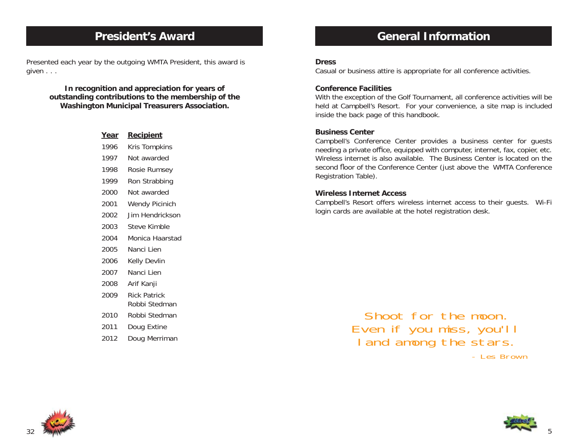## **President's Award**

Presented each year by the outgoing WMTA President, this award is given . . .

> **In recognition and appreciation for years of outstanding contributions to the membership of the Washington Municipal Treasurers Association.**

| <u>Year</u> | <u>Recipient</u>              |
|-------------|-------------------------------|
| 1996        | Kris Tompkins                 |
| 1997        | Not awarded                   |
| 1998        | Rosie Rumsey                  |
| 1999        | Ron Strabbing                 |
| 2000        | Not awarded                   |
| 2001        | <b>Wendy Picinich</b>         |
| 2002        | Jim Hendrickson               |
| 2003        | Steve Kimble                  |
| 2004        | Monica Haarstad               |
| 2005        | Nanci Lien                    |
| 2006        | Kelly Devlin                  |
| 2007        | Nanci Lien                    |
| 2008        | Arif Kanji                    |
| 2009        | Rick Patrick<br>Robbi Stedman |
| 2010        | Robbi Stedman                 |
| 2011        | Doug Extine                   |
| 2012        | Doug Merriman                 |
|             |                               |

## **General Information**

#### **Dress**

Casual or business attire is appropriate for all conference activities.

#### **Conference Facilities**

With the exception of the Golf Tournament, all conference activities will be held at Campbell's Resort. For your convenience, a site map is included inside the back page of this handbook.

#### **Business Center**

Campbell's Conference Center provides a business center for guests needing a private office, equipped with computer, internet, fax, copier, etc. Wireless internet is also available. The Business Center is located on the second floor of the Conference Center (just above the WMTA Conference Registration Table).

#### **Wireless Internet Access**

Campbell's Resort offers wireless internet access to their guests. Wi-Fi login cards are available at the hotel registration desk.

> Shoot for the moon. Even if you miss, you'll<br>land among the stars. - Les Brown



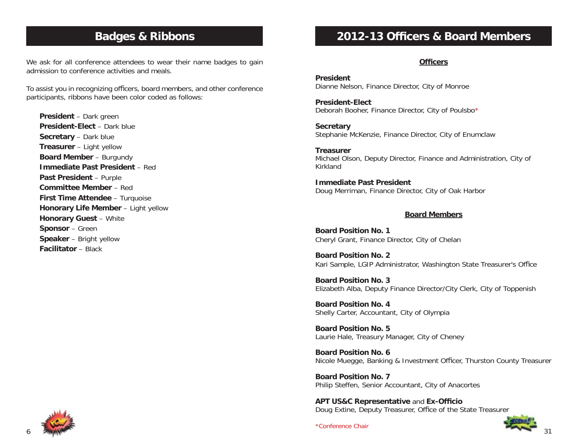## **Badges & Ribbons**

We ask for all conference attendees to wear their name badges to gain admission to conference activities and meals.

To assist you in recognizing officers, board members, and other conference participants, ribbons have been color coded as follows:

**President** – Dark green **President-Elect** – Dark blue**Secretary** – Dark blue **Treasurer** – Light yellow **Board Member** – Burgundy **Immediate Past President** – Red**Past President** – Purple **Committee Member** – Red**First Time Attendee** – Turquoise **Honorary Life Member** – Light yellow **Honorary Guest** – White **Sponsor** – Green **Speaker** – Bright yellow **Facilitator** – Black



## **2012-13 Officers & Board Members**

#### **Officers**

**President**Dianne Nelson, Finance Director, City of Monroe

**President-Elect**Deborah Booher, Finance Director, City of Poulsbo\*

**Secretary** Stephanie McKenzie, Finance Director, City of Enumclaw

**Treasurer**Michael Olson, Deputy Director, Finance and Administration, City of Kirkland

**Immediate Past President**Doug Merriman, Finance Director, City of Oak Harbor

#### **Board Members**

**Board Position No. 1**Cheryl Grant, Finance Director, City of Chelan

**Board Position No. 2**Kari Sample, LGIP Administrator, Washington State Treasurer's Office

**Board Position No. 3**Elizabeth Alba, Deputy Finance Director/City Clerk, City of Toppenish

**Board Position No. 4**Shelly Carter, Accountant, City of Olympia

**Board Position No. 5**Laurie Hale, Treasury Manager, City of Cheney

**Board Position No. 6**Nicole Muegge, Banking & Investment Officer, Thurston County Treasurer

**Board Position No. 7**Philip Steffen, Senior Accountant, City of Anacortes

**APT US&C Representative and Ex-Officio** Doug Extine, Deputy Treasurer, Office of the State Treasurer





31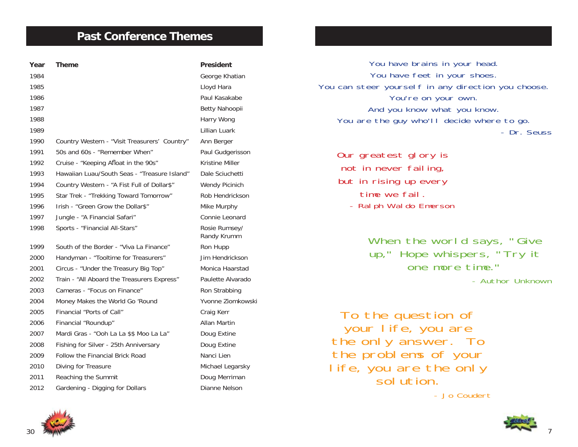## **Past Conference Themes**

| Year | <b>Theme</b>                                  | <b>President</b>             |
|------|-----------------------------------------------|------------------------------|
| 1984 |                                               | George Khatian               |
| 1985 |                                               | Lloyd Hara                   |
| 1986 |                                               | Paul Kasakabe                |
| 1987 |                                               | Betty Nahoopii               |
| 1988 |                                               | Harry Wong                   |
| 1989 |                                               | Lillian Luark                |
| 1990 | Country Western - "Visit Treasurers' Country" | Ann Berger                   |
| 1991 | 50s and 60s - "Remember When"                 | Paul Gudgerisson             |
| 1992 | Cruise - "Keeping Afloat in the 90s"          | <b>Kristine Miller</b>       |
| 1993 | Hawaiian Luau/South Seas - "Treasure Island"  | Dale Sciuchetti              |
| 1994 | Country Western - "A Fist Full of Dollar\$"   | Wendy Picinich               |
| 1995 | Star Trek - "Trekking Toward Tomorrow"        | Rob Hendrickson              |
| 1996 | Irish - "Green Grow the Dollar\$"             | Mike Murphy                  |
| 1997 | Jungle - "A Financial Safari"                 | Connie Leonard               |
| 1998 | Sports - "Financial All-Stars"                | Rosie Rumsey/<br>Randy Krumm |
| 1999 | South of the Border - "Viva La Finance"       | Ron Hupp                     |
| 2000 | Handyman - "Tooltime for Treasurers"          | Jim Hendrickson              |
| 2001 | Circus - "Under the Treasury Big Top"         | Monica Haarstad              |
| 2002 | Train - "All Aboard the Treasurers Express"   | Paulette Alvarado            |
| 2003 | Cameras - "Focus on Finance"                  | Ron Strabbing                |
| 2004 | Money Makes the World Go 'Round               | Yvonne Ziomkowski            |
| 2005 | Financial "Ports of Call"                     | Craig Kerr                   |
| 2006 | Financial "Roundup"                           | Allan Martin                 |
| 2007 | Mardi Gras - "Ooh La La \$\$ Moo La La"       | Doug Extine                  |
| 2008 | Fishing for Silver - 25th Anniversary         | Doug Extine                  |
| 2009 | Follow the Financial Brick Road               | Nanci Lien                   |
| 2010 | Diving for Treasure                           | Michael Legarsky             |
| 2011 | Reaching the Summit                           | Doug Merriman                |
| 2012 | Gardening - Digging for Dollars               | Dianne Nelson                |

You have brains in your head. You have feet in your shoes. You can steer yourself in any direction you choose. You're on your own. And you know what you know. You are the guy who'll decide where to go. - Dr. Seuss

Our greatest glory is not in never failing, but in rising up every time we fail.- Ralph Waldo Emerson

> When the world says, "Give up," Hope whispers, "Try it one more time."

> > - Jo Coudert

- Author Unknown

To the question of<br>your life, you are<br>the only answer. To<br>the problems of your<br>life, you are the only<br>solution.



<sup>30</sup>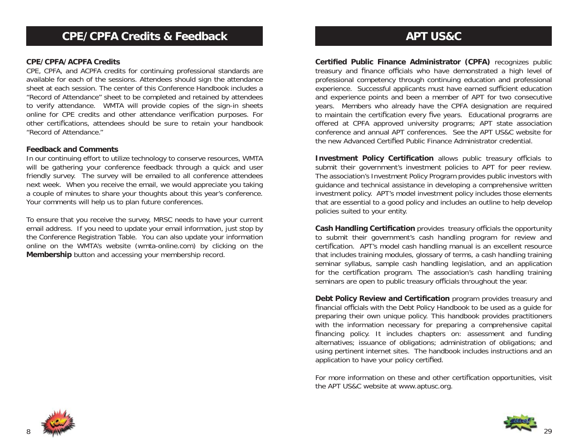#### **CPE/CPFA/ACPFA Credits**

CPE, CPFA, and ACPFA credits for continuing professional standards are available for each of the sessions. Attendees should sign the attendance sheet at each session. The center of this Conference Handbook includes a "Record of Attendance" sheet to be completed and retained by attendees to verify attendance. WMTA will provide copies of the sign-in sheets online for CPE credits and other attendance verification purposes. For other certifications, attendees should be sure to retain your handbook "Record of Attendance."

#### **Feedback and Comments**

In our continuing effort to utilize technology to conserve resources, WMTA will be gathering your conference feedback through a quick and user friendly survey. The survey will be emailed to all conference attendees next week. When you receive the email, we would appreciate you taking a couple of minutes to share your thoughts about this year's conference. Your comments will help us to plan future conferences.

To ensure that you receive the survey, MRSC needs to have your current email address. If you need to update your email information, just stop by the Conference Registration Table. You can also update your information online on the WMTA's website (wmta-online.com) by clicking on the **Membership** button and accessing your membership record.

## **APT US&C**

**Certified Public Finance Administrator (CPFA)** recognizes public treasury and finance officials who have demonstrated a high level of professional competency through continuing education and professional experience. Successful applicants must have earned sufficient education and experience points and been a member of APT for two consecutive years. Members who already have the CPFA designation are required to maintain the certification every five years. Educational programs are offered at CPFA approved university programs; APT state association conference and annual APT conferences. See the APT US&C website for the new Advanced Certified Public Finance Administrator credential.

**Investment Policy Certification** allows public treasury officials to submit their government's investment policies to APT for peer review. The association's Investment Policy Program provides public investors with guidance and technical assistance in developing a comprehensive written investment policy. APT's model investment policy includes those elements that are essential to a good policy and includes an outline to help develop policies suited to your entity.

**Cash Handling Certification** provides treasury officials the opportunity to submit their government's cash handling program for review and certification. APT's model cash handling manual is an excellent resource that includes training modules, glossary of terms, a cash handling training seminar syllabus, sample cash handling legislation, and an application for the certification program. The association's cash handling training seminars are open to public treasury officials throughout the year.

**Debt Policy Review and Certification** program provides treasury and financial officials with the Debt Policy Handbook to be used as a quide for preparing their own unique policy. This handbook provides practitioners with the information necessary for preparing a comprehensive capital financing policy. It includes chapters on: assessment and funding alternatives; issuance of obligations; administration of obligations; and using pertinent internet sites. The handbook includes instructions and an application to have your policy certified.

For more information on these and other certification opportunities, visit the APT US&C website at www.aptusc.org.





29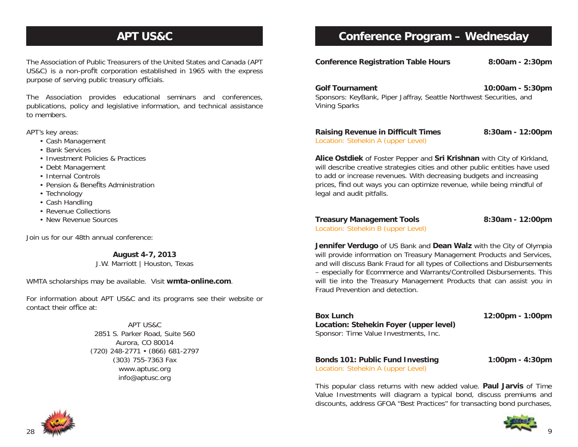## **APT US&C**

The Association of Public Treasurers of the United States and Canada (APT US&C) is a non-profit corporation established in 1965 with the express purpose of serving public treasury officials.

The Association provides educational seminars and conferences, publications, policy and legislative information, and technical assistance to members.

APT's key areas:

- Cash Management
- Bank Services
- Investment Policies & Practices
- Debt Management
- Internal Controls
	- Pension & Benefits Administration
	- Technology
	- Cash Handling
	- Revenue Collections
	- New Revenue Sources

Join us for our 48th annual conference:

**August 4-7, 2013** J.W. Marriott | Houston, Texas

WMTA scholarships may be available. Visit **wmta-online.com**.

For information about APT US&C and its programs see their website or contact their office at:

> APT US&C2851 S. Parker Road, Suite 560 Aurora, CO 80014 (720) 248-2771 • (866) 681-2797 (303) 755-7363 Fax www.aptusc.org info@aptusc.org

## **Conference Program – Wednesday**

**Conference Registration Table Hours 8:00am - 2:30pm**

**Golf Tournament 10:00am - 5:30pm** Sponsors: KeyBank, Piper Jaffray, Seattle Northwest Securities, and Vining Sparks

**Raising Revenue in Difficult Times** 8:30am - 12:00pm Location: Stehekin A (upper Level)

**Alice Ostdiek** of Foster Pepper and **Sri Krishnan** with City of Kirkland, will describe creative strategies cities and other public entities have used to add or increase revenues. With decreasing budgets and increasing prices, find out ways you can optimize revenue, while being mindful of legal and audit pitfalls.

#### **Treasury Management Tools 8:30am - 12:00pm** Location: Stehekin B (upper Level)

**Jennifer Verdugo** of US Bank and **Dean Walz** with the City of Olympia will provide information on Treasury Management Products and Services, and will discuss Bank Fraud for all types of Collections and Disbursements – especially for Ecommerce and Warrants/Controlled Disbursements. This will tie into the Treasury Management Products that can assist you in Fraud Prevention and detection.

**Box Lunch 12:00pm - 1:00pm Location: Stehekin Foyer (upper level)** Sponsor: Time Value Investments, Inc.

**Bonds 101: Public Fund Investing 1:00pm - 4:30pm** Location: Stehekin A (upper Level)

This popular class returns with new added value. **Paul Jarvis** of Time Value Investments will diagram a typical bond, discuss premiums and discounts, address GFOA "Best Practices" for transacting bond purchases,



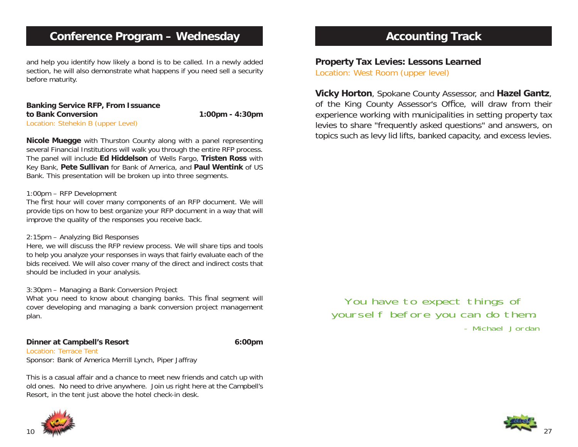## **Conference Program – Wednesday**

and help you identify how likely a bond is to be called. In a newly added section, he will also demonstrate what happens if you need sell a security before maturity.

**Banking Service RFP, From Issuance to Bank Conversion 1:00pm - 4:30pm** Location: Stehekin B (upper Level)

**Nicole Muegge** with Thurston County along with a panel representing several Financial Institutions will walk you through the entire RFP process. The panel will include **Ed Hiddelson** of Wells Fargo, **Tristen Ross** with Key Bank, **Pete Sullivan** for Bank of America, and **Paul Wentink** of US Bank. This presentation will be broken up into three segments.

#### 1:00pm – RFP Development

The first hour will cover many components of an RFP document. We will provide tips on how to best organize your RFP document in a way that will improve the quality of the responses you receive back.

#### 2:15pm – Analyzing Bid Responses

Here, we will discuss the RFP review process. We will share tips and tools to help you analyze your responses in ways that fairly evaluate each of the bids received. We will also cover many of the direct and indirect costs that should be included in your analysis.

#### 3:30pm – Managing a Bank Conversion Project

What you need to know about changing banks. This final segment will cover developing and managing a bank conversion project management plan.

#### **Dinner at Campbell's Resort 6:00pm**

Location: Terrace Tent

Sponsor: Bank of America Merrill Lynch, Piper Jaffray

This is a casual affair and a chance to meet new friends and catch up with old ones. No need to drive anywhere. Join us right here at the Campbell's Resort, in the tent just above the hotel check-in desk.



## **Accounting Track**

**Property Tax Levies: Lessons Learned** Location: West Room (upper level)

**Vicky Horton**, Spokane County Assessor, and **Hazel Gantz**, of the King County Assessor's Office, will draw from their experience working with municipalities in setting property tax levies to share "frequently asked questions" and answers, on topics such as levy lid lifts, banked capacity, and excess levies.

## You have to expect things of yourself before you can do them. - Michael Jordan

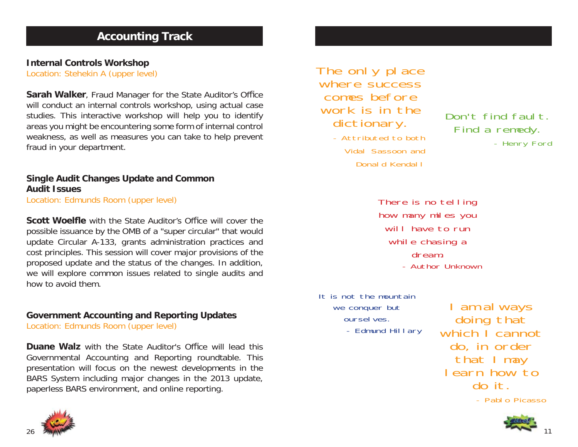## **Accounting Track**

### **Internal Controls Workshop**

Location: Stehekin A (upper level)

Sarah Walker, Fraud Manager for the State Auditor's Office will conduct an internal controls workshop, using actual case studies. This interactive workshop will help you to identify areas you might be encountering some form of internal control weakness, as well as measures you can take to help prevent fraud in your department.

## **Single Audit Changes Update and Common Audit Issues**

Location: Edmunds Room (upper level)

**Scott Woelfle** with the State Auditor's Office will cover the possible issuance by the OMB of a "super circular" that would update Circular A-133, grants administration practices and cost principles. This session will cover major provisions of the proposed update and the status of the changes. In addition, we will explore common issues related to single audits and how to avoid them.

## **Government Accounting and Reporting Updates**

Location: Edmunds Room (upper level)

**Duane Walz** with the State Auditor's Office will lead this Governmental Accounting and Reporting roundtable. This presentation will focus on the newest developments in the BARS System including major changes in the 2013 update, paperless BARS environment, and online reporting.

The only place where success comes before work is in the dictionary.

- Attributed to both Vidal Sassoon and Donald Kendall Don't find fault. Find a remedy. - Henry Ford

There is no telling how many miles you will have to run while chasing a dream.- Author Unknown

It is not the mountain we conquer but ourselves.- Edmund Hillary

**I am always<br>doing that<br>which I cannot** do, in order<br>that I may<br>learn how to do it.

- Pablo Picasso



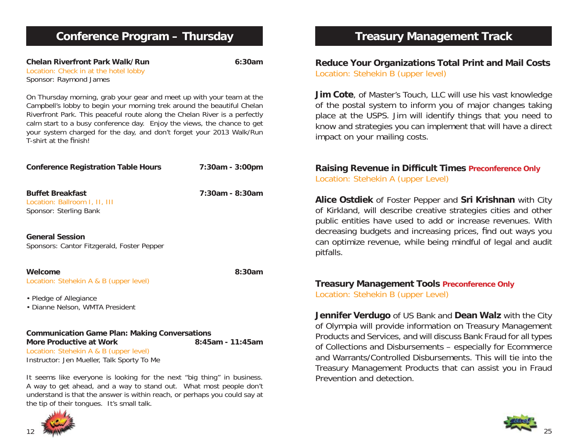|  | understand is tha<br>the tip of their to |
|--|------------------------------------------|

**Buffet B** Location: Sponsor:

| On Thursday morning, grab your gear and meet up with your team at the<br>Campbell's lobby to begin your morning trek around the beautiful Chelan<br>Riverfront Park. This peaceful route along the Chelan River is a perfectly<br>calm start to a busy conference day. Enjoy the views, the chance to get<br>your system charged for the day, and don't forget your 2013 Walk/Run<br>T-shirt at the finish! |                 | <b>Jim Cot</b><br>of the p<br>place at<br>know an<br>impact o |
|-------------------------------------------------------------------------------------------------------------------------------------------------------------------------------------------------------------------------------------------------------------------------------------------------------------------------------------------------------------------------------------------------------------|-----------------|---------------------------------------------------------------|
| <b>Conference Registration Table Hours</b>                                                                                                                                                                                                                                                                                                                                                                  | 7:30am - 3:00pm | Raising<br>Location                                           |
| <b>Buffet Breakfast</b><br>Location: Ballroom I, II, III<br>Sponsor: Sterling Bank                                                                                                                                                                                                                                                                                                                          | 7:30am - 8:30am | <b>Alice Of</b><br>of Kirkla<br>public e                      |
| <b>General Session</b><br>Sponsors: Cantor Fitzgerald, Foster Pepper                                                                                                                                                                                                                                                                                                                                        |                 | decreasi<br>can opti<br>pitfalls.                             |
| Welcome                                                                                                                                                                                                                                                                                                                                                                                                     | 8:30am          |                                                               |
| Location: Stehekin A & B (upper level)                                                                                                                                                                                                                                                                                                                                                                      |                 | <b>Treasul</b>                                                |
| • Pledge of Allegiance                                                                                                                                                                                                                                                                                                                                                                                      |                 | Location                                                      |
| · Dianne Nelson, WMTA President<br>Communication Game Plan: Making Conversations                                                                                                                                                                                                                                                                                                                            |                 | <b>Jennife</b><br>of Olym                                     |

## **Conference Program – Thursday**

**Chelan Riverfront Park Walk/Run 6:30am**Location: Check in at the hotel lobby Sponsor: Raymond James

| Sponsors: Cantor Fitzgerald, Foster Pepper                                                                                |                  |        |
|---------------------------------------------------------------------------------------------------------------------------|------------------|--------|
| Welcome<br>Location: Stehekin A & B (upper level)                                                                         |                  | 8:30am |
| • Pledge of Allegiance<br>• Dianne Nelson, WMTA President                                                                 |                  |        |
| <b>Communication Game Plan: Making Conversations</b><br>More Productive at Work<br>Location: Stehekin A & B (upper level) | 8:45am - 11:45am |        |

Instructor: Jen Mueller, Talk Sporty To Me

It seems like everyone is looking for the next "big thing" in business. A way to get ahead, and a way to stand out. What most people don't understand is that the answer is within reach, or perhaps you could say at the tip of their tongues. It's small talk.

## **Treasury Management Track**

**Reduce Your Organizations Total Print and Mail Costs** Location: Stehekin B (upper level)

te, of Master's Touch, LLC will use his vast knowledge oostal system to inform you of major changes taking the USPS. Jim will identify things that you need to ad strategies you can implement that will have a direct on your mailing costs.

#### **Revenue in Difficult Times Preconference Only** 1: Stehekin A (upper Level)

stdiek of Foster Pepper and Sri Krishnan with City and, will describe creative strategies cities and other ntities have used to add or increase revenues. With ing budgets and increasing prices, find out ways you imize revenue, while being mindful of legal and audit

#### **Ty Management Tools Preconference Only** 1: Stehekin B (upper Level)

**Pr Verdugo** of US Bank and **Dean Walz** with the City pia will provide information on Treasury Management Products and Services, and will discuss Bank Fraud for all types of Collections and Disbursements – especially for Ecommerce and Warrants/Controlled Disbursements. This will tie into the Treasury Management Products that can assist you in Fraud Prevention and detection.

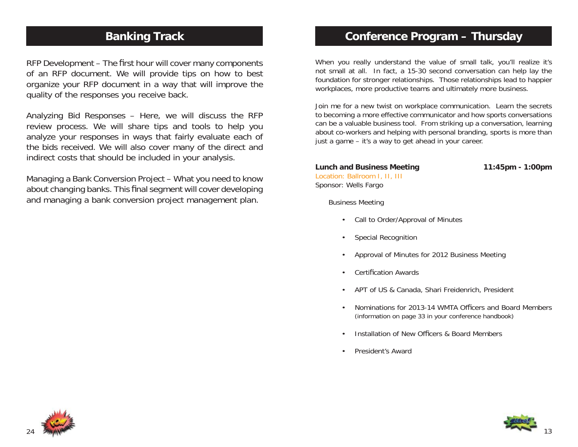## **Banking Track**

RFP Development – The first hour will cover many components of an RFP document. We will provide tips on how to best organize your RFP document in a way that will improve the quality of the responses you receive back.

Analyzing Bid Responses – Here, we will discuss the RFP review process. We will share tips and tools to help you analyze your responses in ways that fairly evaluate each of the bids received. We will also cover many of the direct and indirect costs that should be included in your analysis.

Managing a Bank Conversion Project – What you need to know about changing banks. This final segment will cover developing and managing a bank conversion project management plan.

## **Conference Program – Thursday**

When you really understand the value of small talk, you'll realize it's not small at all. In fact, a 15-30 second conversation can help lay the foundation for stronger relationships. Those relationships lead to happier workplaces, more productive teams and ultimately more business.

Join me for a new twist on workplace communication. Learn the secrets to becoming a more effective communicator and how sports conversations can be a valuable business tool. From striking up a conversation, learning about co-workers and helping with personal branding, sports is more than just a game – it's a way to get ahead in your career.

#### **Lunch and Business Meeting 11:45pm - 1:00pm**

Business Meeting

Location: Ballroom I, II, III Sponsor: Wells Fargo

- Call to Order/Approval of Minutes
- Special Recognition
- Approval of Minutes for 2012 Business Meeting
- **Certification Awards**
- APT of US & Canada, Shari Freidenrich, President
- Nominations for 2013-14 WMTA Officers and Board Members (information on page 33 in your conference handbook)
- Installation of New Officers & Board Members
- President's Award



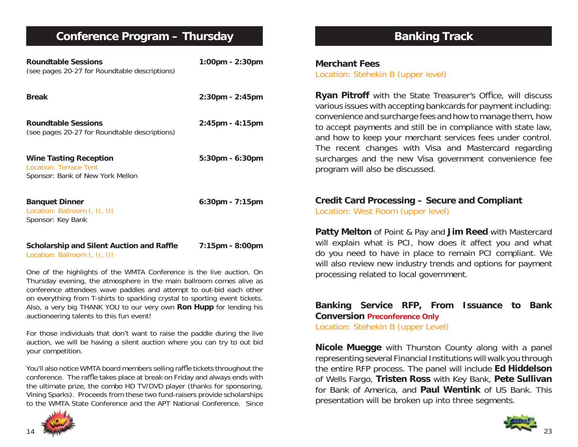## **Conference Program – Thursday**

| <b>Roundtable Sessions</b><br>(see pages 20-27 for Roundtable descriptions)                 | $1:00$ pm - $2:30$ pm |
|---------------------------------------------------------------------------------------------|-----------------------|
| <b>Break</b>                                                                                | $2:30$ pm - $2:45$ pm |
| <b>Roundtable Sessions</b><br>(see pages 20-27 for Roundtable descriptions)                 | $2:45$ pm - $4:15$ pm |
| <b>Wine Tasting Reception</b><br>Location: Terrace Tent<br>Sponsor: Bank of New York Mellon | $5:30$ pm - $6:30$ pm |
| <b>Banquet Dinner</b><br>Location: Ballroom I, II, III<br>Sponsor: Key Bank                 | $6:30$ pm - 7:15pm    |
| <b>Scholarship and Silent Auction and Raffle</b><br>Location: Ballroom I, II, III           | 7:15pm - 8:00pm       |

One of the highlights of the WMTA Conference is the live auction. On Thursday evening, the atmosphere in the main ballroom comes alive as conference attendees wave paddles and attempt to out-bid each other on everything from T-shirts to sparkling crystal to sporting event tickets. Also, a very big THANK YOU to our very own **Ron Hupp** for lending his auctioneering talents to this fun event!

For those individuals that don't want to raise the paddle during the live auction, we will be having a silent auction where you can try to out bid your competition.

You'll also notice WMTA board members selling raffle tickets throughout the conference. The raffle takes place at break on Friday and always ends with the ultimate prize, the combo HD TV/DVD player (thanks for sponsoring, Vining Sparks). Proceeds from these two fund-raisers provide scholarships to the WMTA State Conference and the APT National Conference. Since

## 14

## **Banking Track**

**Merchant Fees**Location: Stehekin B (upper level)

**Ryan Pitroff** with the State Treasurer's Office, will discuss various issues with accepting bankcards for payment including: convenience and surcharge fees and how to manage them, how to accept payments and still be in compliance with state law, and how to keep your merchant services fees under control. The recent changes with Visa and Mastercard regarding surcharges and the new Visa government convenience fee program will also be discussed.

**Credit Card Processing – Secure and Compliant** Location: West Room (upper level)

**Patty Melton** of Point & Pay and **Jim Reed** with Mastercard will explain what is PCI, how does it affect you and what do you need to have in place to remain PCI compliant. We will also review new industry trends and options for payment processing related to local government.

#### **Banking Service RFP, From Issuance to Bank Conversion Preconference Only** Location: Stehekin B (upper Level)

**Nicole Muegge** with Thurston County along with a panel representing several Financial Institutions will walk you through the entire RFP process. The panel will include **Ed Hiddelson** of Wells Fargo, **Tristen Ross** with Key Bank, **Pete Sullivan** for Bank of America, and **Paul Wentink** of US Bank. This presentation will be broken up into three segments.

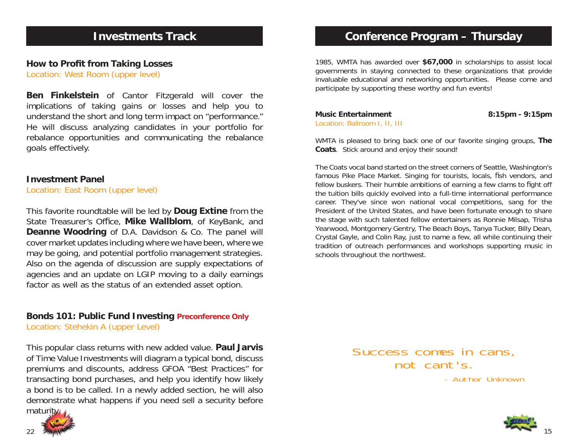## **Investments Track**

#### **How to Profit from Taking Losses** Location: West Room (upper level)

**Ben Finkelstein** of Cantor Fitzgerald will cover the implications of taking gains or losses and help you to understand the short and long term impact on "performance." He will discuss analyzing candidates in your portfolio for rebalance opportunities and communicating the rebalance goals effectively.

#### **Investment Panel**

Location: East Room (upper level)

This favorite roundtable will be led by **Doug Extine** from the State Treasurer's Office, Mike Wallblom, of KeyBank, and **Deanne Woodring** of D.A. Davidson & Co. The panel will cover market updates including where we have been, where we may be going, and potential portfolio management strategies. Also on the agenda of discussion are supply expectations of agencies and an update on LGIP moving to a daily earnings factor as well as the status of an extended asset option.

## **Bonds 101: Public Fund Investing Preconference Only**

Location: Stehekin A (upper Level)

This popular class returns with new added value. **Paul Jarvis** of Time Value Investments will diagram a typical bond, discuss premiums and discounts, address GFOA "Best Practices" for transacting bond purchases, and help you identify how likely a bond is to be called. In a newly added section, he will also demonstrate what happens if you need sell a security before



## **Conference Program – Thursday**

1985, WMTA has awarded over **\$67,000** in scholarships to assist local governments in staying connected to these organizations that provide invaluable educational and networking opportunities. Please come and participate by supporting these worthy and fun events!

#### **Music Entertainment** 8:15pm - 9:15pm

Location: Ballroom I, II, III

WMTA is pleased to bring back one of our favorite singing groups, **The Coats**. Stick around and enjoy their sound!

The Coats vocal band started on the street corners of Seattle, Washington's famous Pike Place Market. Singing for tourists, locals, fish vendors, and fellow buskers. Their humble ambitions of earning a few clams to fight off the tuition bills quickly evolved into a full-time international performance career. They've since won national vocal competitions, sang for the President of the United States, and have been fortunate enough to share the stage with such talented fellow entertainers as Ronnie Milsap, Trisha Yearwood, Montgomery Gentry, The Beach Boys, Tanya Tucker, Billy Dean, Crystal Gayle, and Colin Ray, just to name a few, all while continuing their tradition of outreach performances and workshops supporting music in schools throughout the northwest.

## Success comes in cans, not cant's.

- Author Unknown

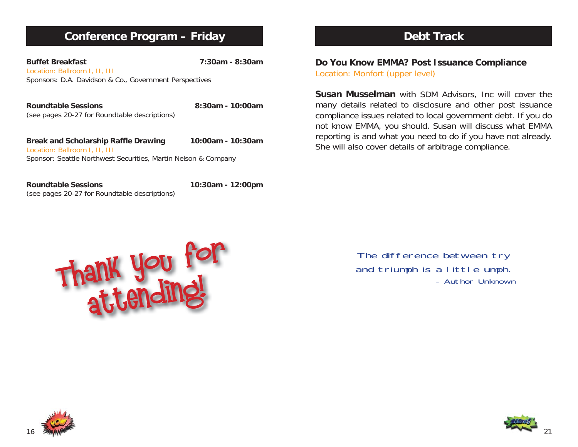## **Conference Program – Friday**

**Buffet Breakfast 7:30am - 8:30am**Location: Ballroom I, II, III Sponsors: D.A. Davidson & Co., Government Perspectives

**Roundtable Sessions 8:30am - 10:00am**(see pages 20-27 for Roundtable descriptions)

Break and Scholarship Raffle Drawing 10:00am - 10:30am Location: Ballroom I, II, III Sponsor: Seattle Northwest Securities, Martin Nelson & Company

**Roundtable Sessions 10:30am - 12:00pm** (see pages 20-27 for Roundtable descriptions)

## **Debt Track**

**Do You Know EMMA? Post Issuance Compliance** Location: Monfort (upper level)

**Susan Musselman** with SDM Advisors, Inc will cover the many details related to disclosure and other post issuance compliance issues related to local government debt. If you do not know EMMA, you should. Susan will discuss what EMMA reporting is and what you need to do if you have not already. She will also cover details of arbitrage compliance.



The difference between try and triumph is a little umph. - Author Unknown



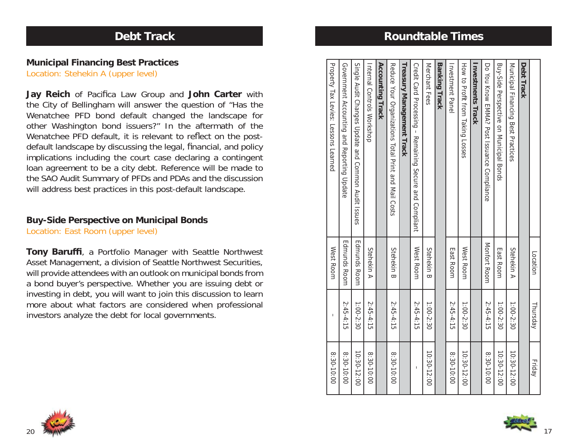## **Roundtable Times**

## **Debt Track**

## **Municipal Financing Best Practices**

Location: Stehekin A (upper level)

**Jay Reich** of Pacifica Law Group and **John Carter** with the City of Bellingham will answer the question of "Has the Wenatchee PFD bond default changed the landscape for other Washington bond issuers?" In the aftermath of the Wenatchee PFD default, it is relevant to reflect on the postdefault landscape by discussing the legal, financial, and policy implications including the court case declaring a contingent loan agreement to be a city debt. Reference will be made to the SAO Audit Summary of PFDs and PDAs and the discussion will address best practices in this post-default landscape.

## **Buy-Side Perspective on Municipal Bonds**

Location: East Room (upper level)

**Tony Baruf fi**, a Portfolio Manager with Seattle Northwest Asset Management, a division of Seattle Northwest Securities, will provide attendees with an outlook on municipal bonds from a bond buyer's perspective. Whether you are issuing debt or investing in debt, you will want to join this discussion to learn more about what factors are considered when professional investors analyze the debt for local governments.

|                                                         | Location          | <b>Thursday</b> | Friday      |
|---------------------------------------------------------|-------------------|-----------------|-------------|
| Debt Track                                              |                   |                 |             |
| Municipal Financing Best Practices                      | Stehekin A        | 1:00-2:30       | 10:30-12:00 |
| Buy-Side Perspective on Municipal Bonds                 | East Room         | 1:00-2:30       | 10:30-12:00 |
| Do You Know EMMA's Post Issuance Compliance             | Monfort Room      | $2:45-4:15$     | 8:30-10:00  |
| <b>Investments Track</b>                                |                   |                 |             |
| How to Profit from Taking Losses                        | West Room         | 1:00-2:30       | 10:30-12:00 |
| Investment Panel                                        | East Room         | $2:45-4:15$     | 8:30-10:00  |
| <b>Banking Track</b>                                    |                   |                 |             |
| Merchant Fees                                           | <b>Stehekin B</b> | 1:00-2:30       | 10:30-12:00 |
| Credit Card Processing - Remaining Secure and Compliant | West Room         | $2:45-4:15$     | I           |
| Treasury Management Track                               |                   |                 |             |
| Reduce Your Organizations Total Print and Mail Costs    | <b>Stehekin B</b> | $2:45-4:15$     | 8:30-10:00  |
| <b>Accounting Track</b>                                 |                   |                 |             |
| Internal Controls Workshop                              | Stehekin A        | $2:45-4:15$     | 8:30-10:00  |
| Single Audit Changes Update and Common Audit Issues     | Edmunds Room      | 1:00-2:30       | 10:30-12:00 |
| Government Accounting and Reporting Update              | Edmunds Room      | $2:45-4:15$     | 8:30-10:00  |
| Property Tax Levies: Lessons Learned                    | West Room         | I               | 8:30-10:00  |
|                                                         |                   |                 |             |